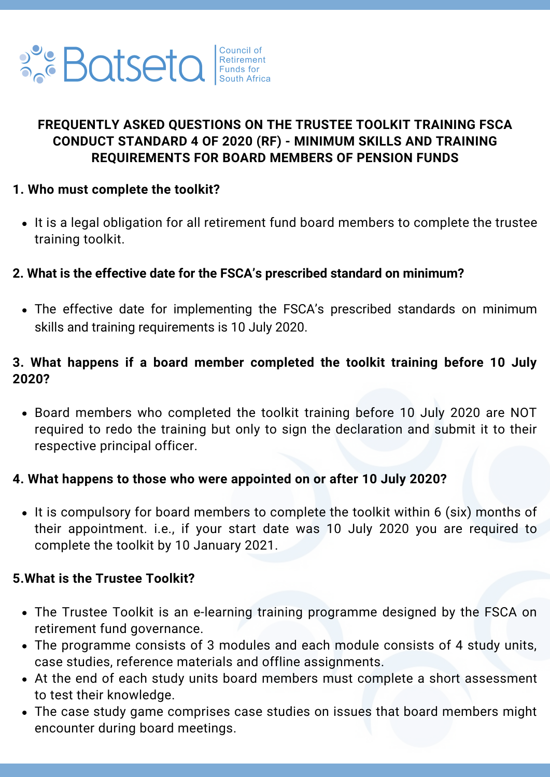

# **FREQUENTLY ASKED QUESTIONS ON THE TRUSTEE TOOLKIT TRAINING FSCA CONDUCT STANDARD 4 OF 2020 (RF) - MINIMUM SKILLS AND TRAINING REQUIREMENTS FOR BOARD MEMBERS OF PENSION FUNDS**

## **1. Who must complete the toolkit?**

• It is a legal obligation for all retirement fund board members to complete the trustee training toolkit.

## **2. What is the effective date for the FSCA's prescribed standard on minimum?**

The effective date for implementing the FSCA's prescribed standards on minimum skills and training requirements is 10 July 2020.

## **3. What happens if a board member completed the toolkit training before 10 July 2020?**

Board members who completed the toolkit training before 10 July 2020 are NOT required to redo the training but only to sign the declaration and submit it to their respective principal officer.

#### **4. What happens to those who were appointed on or after 10 July 2020?**

• It is compulsory for board members to complete the toolkit within 6 (six) months of their appointment. i.e., if your start date was 10 July 2020 you are required to complete the toolkit by 10 January 2021.

#### **5.What is the Trustee Toolkit?**

- The Trustee Toolkit is an e-learning training programme designed by the FSCA on retirement fund governance.
- The programme consists of 3 modules and each module consists of 4 study units, case studies, reference materials and offline assignments.
- At the end of each study units board members must complete a short assessment to test their knowledge.
- The case study game comprises case studies on issues that board members might encounter during board meetings.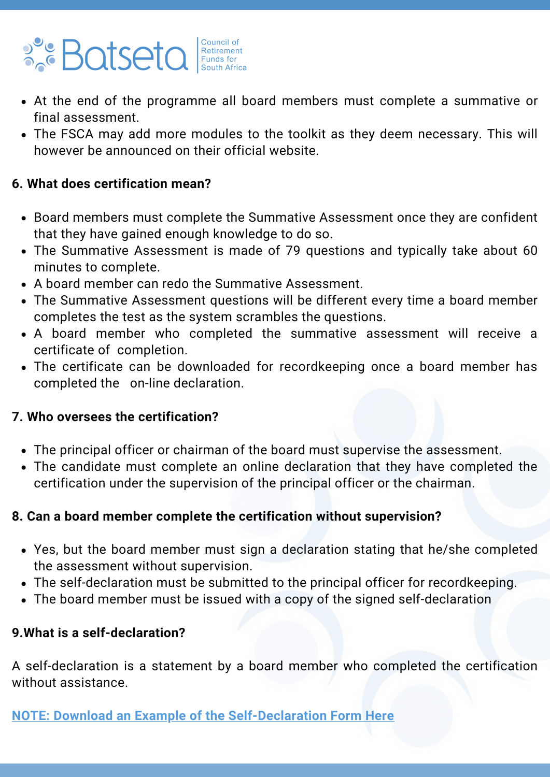# **Batseta** Funds for

- At the end of the programme all board members must complete a summative or final assessment.
- The FSCA may add more modules to the toolkit as they deem necessary. This will however be announced on their official website.

## **6. What does certification mean?**

- Board members must complete the Summative Assessment once they are confident that they have gained enough knowledge to do so.
- The Summative Assessment is made of 79 questions and typically take about 60 minutes to complete.
- A board member can redo the Summative Assessment.
- The Summative Assessment questions will be different every time a board member completes the test as the system scrambles the questions.
- A board member who completed the summative assessment will receive a certificate of completion.
- The certificate can be downloaded for recordkeeping once a board member has completed the on-line declaration.

## **7. Who oversees the certification?**

- The principal officer or chairman of the board must supervise the assessment.
- The candidate must complete an online declaration that they have completed the certification under the supervision of the principal officer or the chairman.

# **8. Can a board member complete the certification without supervision?**

- Yes, but the board member must sign a declaration stating that he/she completed the assessment without supervision.
- The self-declaration must be submitted to the principal officer for recordkeeping.
- The board member must be issued with a copy of the signed self-declaration

# **9.What is a self-declaration?**

A self-declaration is a statement by a board member who completed the certification without assistance.

**NOTE: Download an Example of the [Self-Declaration](https://0e1cb70d-72e0-4c2c-bf8b-b449f072b6a7.usrfiles.com/ugd/0e1cb7_3fb746739f5744208852670687d224cb.pdf) Form Here**